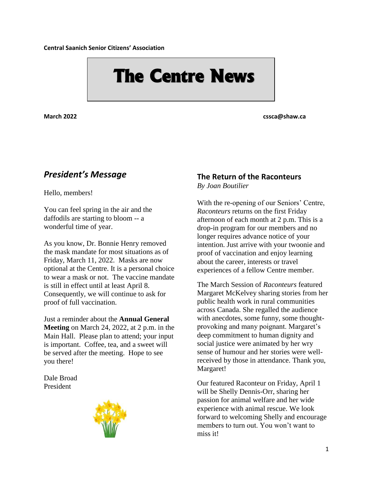**Central Saanich Senior Citizens' Association**

# **The Centre News**

**March 2022 cssca@shaw.ca**

# *President's Message*

Hello, members!

You can feel spring in the air and the daffodils are starting to bloom -- a wonderful time of year.

As you know, Dr. Bonnie Henry removed the mask mandate for most situations as of Friday, March 11, 2022. Masks are now optional at the Centre. It is a personal choice to wear a mask or not. The vaccine mandate is still in effect until at least April 8. Consequently, we will continue to ask for proof of full vaccination.

Just a reminder about the **Annual General Meeting** on March 24, 2022, at 2 p.m. in the Main Hall. Please plan to attend; your input is important. Coffee, tea, and a sweet will be served after the meeting. Hope to see you there!

Dale Broad President



## **The Return of the Raconteurs**

*By Joan Boutilier*

With the re-opening of our Seniors' Centre, *Raconteurs* returns on the first Friday afternoon of each month at 2 p.m. This is a drop-in program for our members and no longer requires advance notice of your intention. Just arrive with your twoonie and proof of vaccination and enjoy learning about the career, interests or travel experiences of a fellow Centre member.

The March Session of *Raconteurs* featured Margaret McKelvey sharing stories from her public health work in rural communities across Canada. She regalled the audience with anecdotes, some funny, some thoughtprovoking and many poignant. Margaret's deep commitment to human dignity and social justice were animated by her wry sense of humour and her stories were wellreceived by those in attendance. Thank you, Margaret!

Our featured Raconteur on Friday, April 1 will be Shelly Dennis-Orr, sharing her passion for animal welfare and her wide experience with animal rescue. We look forward to welcoming Shelly and encourage members to turn out. You won't want to miss it!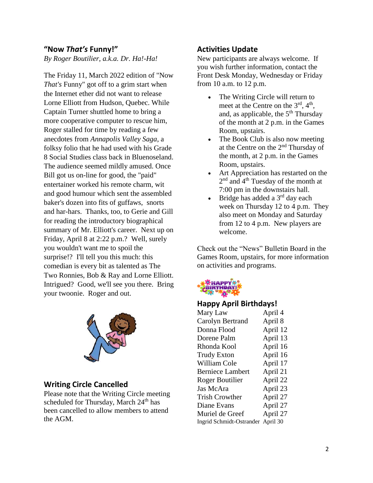#### **"Now** *That's* **Funny!"**

*By Roger Boutilier, a.k.a. Dr. Ha!-Ha!*

The Friday 11, March 2022 edition of "Now *That's* Funny" got off to a grim start when the Internet ether did not want to release Lorne Elliott from Hudson, Quebec. While Captain Turner shuttled home to bring a more cooperative computer to rescue him, Roger stalled for time by reading a few anecdotes from *Annapolis Valley Saga*, a folksy folio that he had used with his Grade 8 Social Studies class back in Bluenoseland. The audience seemed mildly amused. Once Bill got us on-line for good, the "paid" entertainer worked his remote charm, wit and good humour which sent the assembled baker's dozen into fits of guffaws, snorts and har-hars. Thanks, too, to Gerie and Gill for reading the introductory biographical summary of Mr. Elliott's career. Next up on Friday, April 8 at 2:22 p.m.? Well, surely you wouldn't want me to spoil the surprise!? I'll tell you this much: this comedian is every bit as talented as The Two Ronnies, Bob & Ray and Lorne Elliott. Intrigued? Good, we'll see you there. Bring your twoonie. Roger and out.



#### **Writing Circle Cancelled**

Please note that the Writing Circle meeting scheduled for Thursday, March 24<sup>th</sup> has been cancelled to allow members to attend the AGM.

#### **Activities Update**

New participants are always welcome. If you wish further information, contact the Front Desk Monday, Wednesday or Friday from 10 a.m. to 12 p.m.

- The Writing Circle will return to meet at the Centre on the  $3<sup>rd</sup>$ ,  $4<sup>th</sup>$ , and, as applicable, the  $5<sup>th</sup>$  Thursday of the month at 2 p.m. in the Games Room, upstairs.
- The Book Club is also now meeting at the Centre on the 2<sup>nd</sup> Thursday of the month, at 2 p.m. in the Games Room, upstairs.
- Art Appreciation has restarted on the 2<sup>nd</sup> and 4<sup>th</sup> Tuesday of the month at 7:00 pm in the downstairs hall.
- Bridge has added a 3<sup>rd</sup> day each week on Thursday 12 to 4 p.m. They also meet on Monday and Saturday from 12 to 4 p.m. New players are welcome.

Check out the "News" Bulletin Board in the Games Room, upstairs, for more information on activities and programs.



#### **Happy April Birthdays!**

| Mary Law                          | April 4  |
|-----------------------------------|----------|
| Carolyn Bertrand                  | April 8  |
| Donna Flood                       | April 12 |
| Dorene Palm                       | April 13 |
| Rhonda Kool                       | April 16 |
| <b>Trudy Exton</b>                | April 16 |
| William Cole                      | April 17 |
| <b>Berniece Lambert</b>           | April 21 |
| Roger Boutilier                   | April 22 |
| Jas McAra                         | April 23 |
| <b>Trish Crowther</b>             | April 27 |
| Diane Evans                       | April 27 |
| Muriel de Greef                   | April 27 |
| Ingrid Schmidt-Ostrander April 30 |          |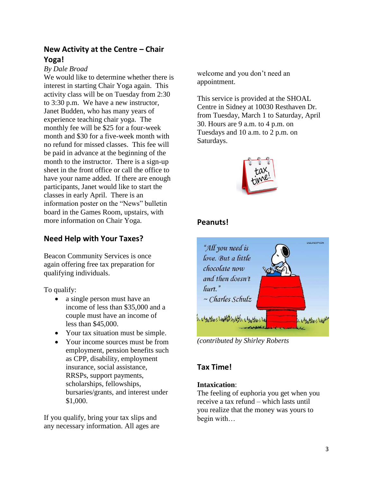#### **New Activity at the Centre – Chair Yoga!**

#### *By Dale Broad*

We would like to determine whether there is interest in starting Chair Yoga again. This activity class will be on Tuesday from 2:30 to 3:30 p.m. We have a new instructor, Janet Budden, who has many years of experience teaching chair yoga. The monthly fee will be \$25 for a four-week month and \$30 for a five-week month with no refund for missed classes. This fee will be paid in advance at the beginning of the month to the instructor. There is a sign-up sheet in the front office or call the office to have your name added. If there are enough participants, Janet would like to start the classes in early April. There is an information poster on the "News" bulletin board in the Games Room, upstairs, with more information on Chair Yoga.

#### **Need Help with Your Taxes?**

Beacon Community Services is once again offering free tax preparation for qualifying individuals.

To qualify:

- a single person must have an income of less than \$35,000 and a couple must have an income of less than \$45,000.
- Your tax situation must be simple.
- Your income sources must be from employment, pension benefits such as CPP, disability, employment insurance, social assistance, RRSPs, support payments, scholarships, fellowships, bursaries/grants, and interest under \$1,000.

If you qualify, bring your tax slips and any necessary information. All ages are welcome and you don't need an appointment.

This service is provided at the SHOAL Centre in Sidney at 10030 Resthaven Dr. from Tuesday, March 1 to Saturday, April 30. Hours are 9 a.m. to 4 p.m. on Tuesdays and 10 a.m. to 2 p.m. on Saturdays.



#### **Peanuts!**



*(contributed by Shirley Roberts*

## **Tax Time!**

#### **Intaxication**:

The feeling of euphoria you get when you receive a tax refund – which lasts until you realize that the money was yours to begin with…